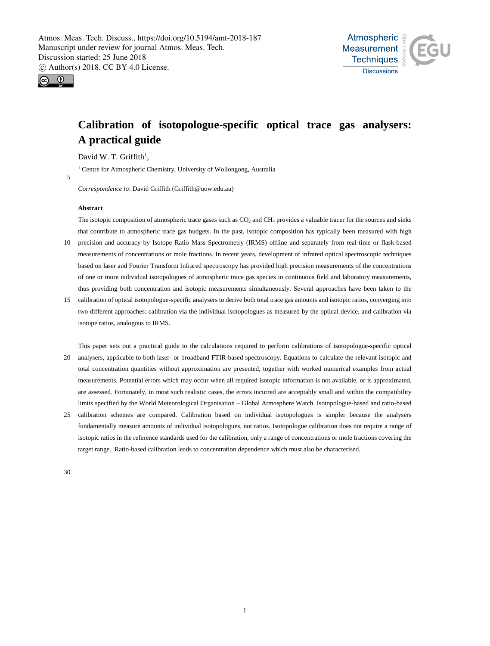



# **Calibration of isotopologue-specific optical trace gas analysers: A practical guide**

David W. T. Griffith<sup>1</sup>,

<sup>1</sup> Centre for Atmospheric Chemistry, University of Wollongong, Australia

5

*Correspondence to*: David Griffith (Griffith@uow.edu.au)

### **Abstract**

The isotopic composition of atmospheric trace gases such as CO<sub>2</sub> and CH<sub>4</sub> provides a valuable tracer for the sources and sinks that contribute to atmospheric trace gas budgets. In the past, isotopic composition has typically been measured with high

- 10 precision and accuracy by Isotope Ratio Mass Spectrometry (IRMS) offline and separately from real-time or flask-based measurements of concentrations or mole fractions. In recent years, development of infrared optical spectroscopic techniques based on laser and Fourier Transform Infrared spectroscopy has provided high precision measurements of the concentrations of one or more individual isotopologues of atmospheric trace gas species in continuous field and laboratory measurements, thus providing both concentration and isotopic measurements simultaneously. Several approaches have been taken to the
- 15 calibration of optical isotopologue-specific analysers to derive both total trace gas amounts and isotopic ratios, converging into two different approaches: calibration via the individual isotopologues as measured by the optical device, and calibration via isotope ratios, analogous to IRMS.

This paper sets out a practical guide to the calculations required to perform calibrations of isotopologue-specific optical 20 analysers, applicable to both laser- or broadband FTIR-based spectroscopy. Equations to calculate the relevant isotopic and total concentration quantities without approximation are presented, together with worked numerical examples from actual measurements. Potential errors which may occur when all required isotopic information is not available, or is approximated, are assessed. Fortunately, in most such realistic cases, the errors incurred are acceptably small and within the compatibility limits specified by the World Meteorological Organisation – Global Atmosphere Watch. Isotopologue-based and ratio-based

25 calibration schemes are compared. Calibration based on individual isotopologues is simpler because the analysers fundamentally measure amounts of individual isotopologues, not ratios. Isotopologue calibration does not require a range of isotopic ratios in the reference standards used for the calibration, only a range of concentrations or mole fractions covering the target range. Ratio-based calibration leads to concentration dependence which must also be characterised.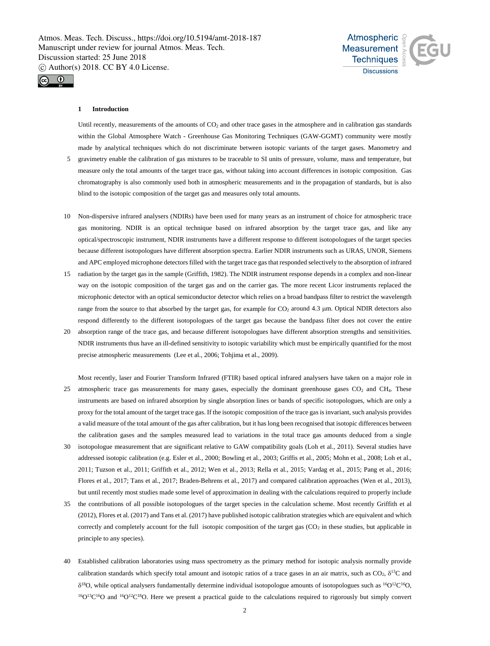



# **1 Introduction**

Until recently, measurements of the amounts of  $CO<sub>2</sub>$  and other trace gases in the atmosphere and in calibration gas standards within the Global Atmosphere Watch - Greenhouse Gas Monitoring Techniques (GAW-GGMT) community were mostly made by analytical techniques which do not discriminate between isotopic variants of the target gases. Manometry and 5 gravimetry enable the calibration of gas mixtures to be traceable to SI units of pressure, volume, mass and temperature, but measure only the total amounts of the target trace gas, without taking into account differences in isotopic composition. Gas chromatography is also commonly used both in atmospheric measurements and in the propagation of standards, but is also blind to the isotopic composition of the target gas and measures only total amounts.

- 10 Non-dispersive infrared analysers (NDIRs) have been used for many years as an instrument of choice for atmospheric trace gas monitoring. NDIR is an optical technique based on infrared absorption by the target trace gas, and like any optical/spectroscopic instrument, NDIR instruments have a different response to different isotopologues of the target species because different isotopologues have different absorption spectra. Earlier NDIR instruments such as URAS, UNOR, Siemens and APC employed microphone detectors filled with the target trace gas that responded selectively to the absorption of infrared
- 15 radiation by the target gas in the sample (Griffith, 1982). The NDIR instrument response depends in a complex and non-linear way on the isotopic composition of the target gas and on the carrier gas. The more recent Licor instruments replaced the microphonic detector with an optical semiconductor detector which relies on a broad bandpass filter to restrict the wavelength range from the source to that absorbed by the target gas, for example for CO<sub>2</sub> around 4.3 µm. Optical NDIR detectors also respond differently to the different isotopologues of the target gas because the bandpass filter does not cover the entire
- 20 absorption range of the trace gas, and because different isotopologues have different absorption strengths and sensitivities. NDIR instruments thus have an ill-defined sensitivity to isotopic variability which must be empirically quantified for the most precise atmospheric measurements (Lee et al., 2006; Tohjima et al., 2009).
- Most recently, laser and Fourier Transform Infrared (FTIR) based optical infrared analysers have taken on a major role in 25 atmospheric trace gas measurements for many gases, especially the dominant greenhouse gases CO<sub>2</sub> and CH<sub>4</sub>. These instruments are based on infrared absorption by single absorption lines or bands of specific isotopologues, which are only a proxy for the total amount of the target trace gas. If the isotopic composition of the trace gas is invariant, such analysis provides a valid measure of the total amount of the gas after calibration, but it has long been recognised that isotopic differences between the calibration gases and the samples measured lead to variations in the total trace gas amounts deduced from a single
- 30 isotopologue measurement that are significant relative to GAW compatibility goals (Loh et al., 2011). Several studies have addressed isotopic calibration (e.g. Esler et al., 2000; Bowling et al., 2003; Griffis et al., 2005; Mohn et al., 2008; Loh et al., 2011; Tuzson et al., 2011; Griffith et al., 2012; Wen et al., 2013; Rella et al., 2015; Vardag et al., 2015; Pang et al., 2016; Flores et al., 2017; Tans et al., 2017; Braden-Behrens et al., 2017) and compared calibration approaches (Wen et al., 2013), but until recently most studies made some level of approximation in dealing with the calculations required to properly include
- 35 the contributions of all possible isotopologues of the target species in the calculation scheme. Most recently Griffith et al (2012), Flores et al. (2017) and Tans et al. (2017) have published isotopic calibration strategies which are equivalent and which correctly and completely account for the full isotopic composition of the target gas  $(CO<sub>2</sub>)$  in these studies, but applicable in principle to any species).
- 40 Established calibration laboratories using mass spectrometry as the primary method for isotopic analysis normally provide calibration standards which specify total amount and isotopic ratios of a trace gases in an air matrix, such as  $CO<sub>2</sub>$ ,  $\delta^{13}C$  and  $\delta^{18}$ O, while optical analysers fundamentally determine individual isotopologue amounts of isotopologues such as  $\rm^{16}O^{12}C^{16}O$ ,  $16Q^{13}C^{16}O$  and  $16Q^{12}C^{18}O$ . Here we present a practical guide to the calculations required to rigorously but simply convert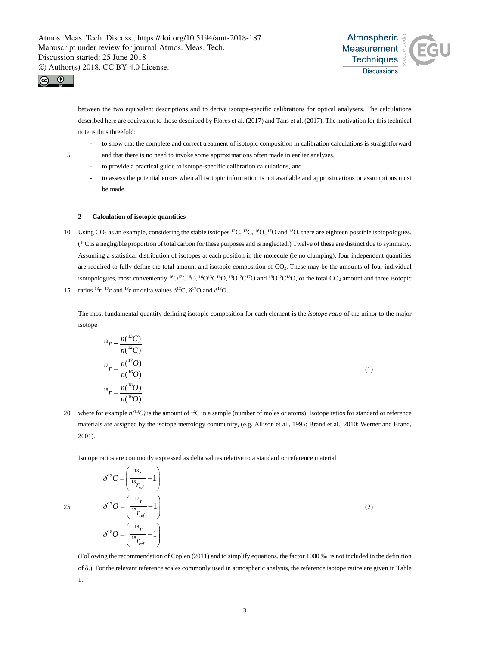



between the two equivalent descriptions and to derive isotope-specific calibrations for optical analysers. The calculations described here are equivalent to those described by Flores et al. (2017) and Tans et al. (2017). The motivation for this technical note is thus threefold:

- to show that the complete and correct treatment of isotopic composition in calibration calculations is straightforward
- 5 and that there is no need to invoke some approximations often made in earlier analyses,
	- to provide a practical guide to isotope-specific calibration calculations, and
	- to assess the potential errors when all isotopic information is not available and approximations or assumptions must be made.

# **2 Calculation of isotopic quantities**

10 Using CO<sub>2</sub> as an example, considering the stable isotopes <sup>12</sup>C, <sup>13</sup>C, <sup>15</sup>O, <sup>17</sup>O and <sup>18</sup>O, there are eighteen possible isotopologues.  $(14)$ C is a negligible proportion of total carbon for these purposes and is neglected.) Twelve of these are distinct due to symmetry. Assuming a statistical distribution of isotopes at each position in the molecule (ie no clumping), four independent quantities are required to fully define the total amount and isotopic composition of  $CO<sub>2</sub>$ . These may be the amounts of four individual isotopologues, most conveniently  ${}^{16}O^{12}C^{16}O$ ,  ${}^{16}O^{13}C^{16}O$ ,  ${}^{16}O^{12}C^{17}O$  and  ${}^{16}O^{12}C^{18}O$ , or the total CO<sub>2</sub> amount and three isotopic 15 ratios <sup>13</sup>*r*, <sup>17</sup>*r* and <sup>18</sup>*r* or delta values  $\delta^{13}C$ ,  $\delta^{17}O$  and  $\delta^{18}O$ .

The most fundamental quantity defining isotopic composition for each element is the *isotope ratio* of the minor to the major isotope

$$
{}^{13}r = \frac{n({}^{13}C)}{n({}^{12}C)}
$$
  

$$
{}^{17}r = \frac{n({}^{17}O)}{n({}^{16}O)}
$$
  

$$
{}^{18}r = \frac{n({}^{18}O)}{n({}^{16}O)}
$$
 (1)

20 where for example  $n(^{13}C)$  is the amount of <sup>13</sup>C in a sample (number of moles or atoms). Isotope ratios for standard or reference materials are assigned by the isotope metrology community, (e.g. Allison et al., 1995; Brand et al., 2010; Werner and Brand, 2001).

Isotope ratios are commonly expressed as delta values relative to a standard or reference material

$$
25 \qquad \delta^{17}O = \left(\frac{^{17}r}{^{17}r_{ref}} - 1\right)
$$
\n
$$
\delta^{18}O = \left(\frac{^{18}r}{^{18}r_{ref}} - 1\right)
$$
\n
$$
(2)
$$

 $^{13}C = \frac{13}{13}r - 1$ 

 $\delta^{13}C = \left(\frac{^{13}r}{^{13}r_{ref}} - 1\right)$ 

*ref*

 $=\frac{1}{13}$  - 1  $\begin{pmatrix} r_{ref} \end{pmatrix}$ 

(Following the recommendation of Coplen (2011) and to simplify equations, the factor 1000 ‰ is not included in the definition of δ.) For the relevant reference scales commonly used in atmospheric analysis, the reference isotope ratios are given in Table 1.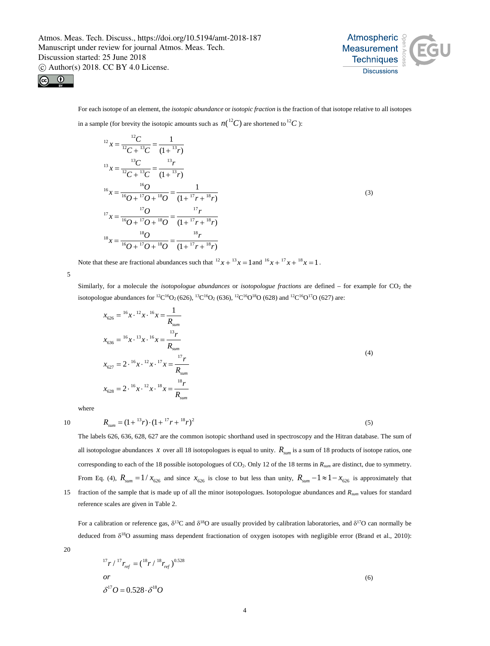

(3)



For each isotope of an element, the *isotopic abundance* or *isotopic fraction* is the fraction of that isotope relative to all isotopes

in a sample (for brevity the isotopic amounts such as  $n(^{12}C)$  are shortened to <sup>12</sup>C):

$$
^{12}x = \frac{^{12}C}{^{12}C + ^{13}C} = \frac{1}{(1 + ^{13}r)}
$$
  

$$
^{13}x = \frac{^{13}C}{^{12}C + ^{13}C} = \frac{^{13}r}{(1 + ^{13}r)}
$$
  

$$
^{16}x = \frac{^{16}O}{^{16}O + ^{17}O + ^{18}O} = \frac{1}{(1 + ^{17}r + ^{18}r)}
$$
  

$$
^{17}x = \frac{^{17}O}{^{16}O + ^{17}O + ^{18}O} = \frac{^{17}r}{(1 + ^{17}r + ^{18}r)}
$$
  

$$
^{18}x = \frac{^{18}O}{^{16}O + ^{17}O + ^{18}O} = \frac{^{18}r}{(1 + ^{17}r + ^{18}r)}
$$

Note that these are fractional abundances such that  ${}^{12}x + {}^{13}x = 1$  and  ${}^{16}x + {}^{17}x + {}^{18}x = 1$ .

5

Similarly, for a molecule the *isotopologue abundances* or *isotopologue fractions* are defined – for example for CO<sub>2</sub> the isotopologue abundances for <sup>12</sup>C<sup>16</sup>O<sub>2</sub> (626), <sup>13</sup>C<sup>16</sup>O<sub>2</sub> (636), <sup>12</sup>C<sup>16</sup>O<sup>18</sup>O (628) and <sup>12</sup>C<sup>16</sup>O<sup>17</sup>O (627) are:

$$
x_{626} = {}^{16}x \cdot {}^{12}x \cdot {}^{16}x = \frac{1}{R_{sum}}
$$
  
\n
$$
x_{636} = {}^{16}x \cdot {}^{13}x \cdot {}^{16}x = \frac{{}^{13}r}{{}R_{sum}}
$$
  
\n
$$
x_{627} = 2 \cdot {}^{16}x \cdot {}^{12}x \cdot {}^{17}x = \frac{{}^{17}r}{{}R_{sum}}
$$
  
\n
$$
x_{628} = 2 \cdot {}^{16}x \cdot {}^{12}x \cdot {}^{18}x = \frac{{}^{18}r}{{}R_{sum}}
$$
  
\n(4)

where

10  $R_{\text{com}} = (1 + {}^{13}r) \cdot (1 + {}^{17}r + {}^{18}r)^2$  (5)

The labels 626, 636, 628, 627 are the common isotopic shorthand used in spectroscopy and the Hitran database. The sum of all isotopologue abundances *x* over all 18 isotopologues is equal to unity.  $R_{sum}$  is a sum of 18 products of isotope ratios, one corresponding to each of the 18 possible isotopologues of CO2. Only 12 of the 18 terms in *Rsum* are distinct, due to symmetry. From Eq. (4),  $R_{\text{sum}} = 1/x_{626}$  and since  $x_{626}$  is close to but less than unity,  $R_{\text{sum}} - 1 \approx 1 - x_{626}$  is approximately that 15 fraction of the sample that is made up of all the minor isotopologues. Isotopologue abundances and *Rsum* values for standard

reference scales are given in Table 2.

For a calibration or reference gas,  $\delta^{13}C$  and  $\delta^{18}O$  are usually provided by calibration laboratories, and  $\delta^{17}O$  can normally be deduced from  $\delta^{18}O$  assuming mass dependent fractionation of oxygen isotopes with negligible error (Brand et al., 2010):

$$
^{17}r/^{17}r_{\text{ref}} = (^{18}r/^{18}r_{\text{ref}})^{0.528}
$$
  
or  

$$
\delta^{17}O = 0.528 \cdot \delta^{18}O
$$
 (6)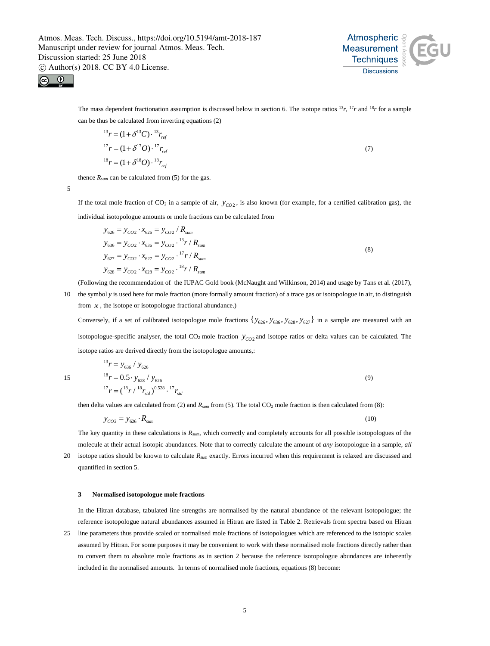

(7)



The mass dependent fractionation assumption is discussed below in section 6. The isotope ratios  $^{13}r$ ,  $^{17}r$  and  $^{18}r$  for a sample can be thus be calculated from inverting equations (2)

$$
^{13}r = (1 + \delta^{13}C) \cdot ^{13}r_{ref}
$$
  

$$
^{17}r = (1 + \delta^{17}O) \cdot ^{17}r_{ref}
$$
  

$$
^{18}r = (1 + \delta^{18}O) \cdot ^{18}r_{ref}
$$

thence  $R_{sum}$  can be calculated from (5) for the gas.

5

If the total mole fraction of  $CO_2$  in a sample of air,  $y_{CO2}$ , is also known (for example, for a certified calibration gas), the individual isotopologue amounts or mole fractions can be calculated from

$$
y_{626} = y_{CO2} \cdot x_{626} = y_{CO2} / R_{sum}
$$
  
\n
$$
y_{636} = y_{CO2} \cdot x_{636} = y_{CO2} \cdot {^{13}r} / R_{sum}
$$
  
\n
$$
y_{627} = y_{CO2} \cdot x_{627} = y_{CO2} \cdot {^{17}r} / R_{sum}
$$
  
\n
$$
y_{628} = y_{CO2} \cdot x_{628} = y_{CO2} \cdot {^{18}r} / R_{sum}
$$
  
\n(8)

(Following the recommendation of the IUPAC Gold book (McNaught and Wilkinson, 2014) and usage by Tans et al. (2017),

10 the symbol *y* is used here for mole fraction (more formally amount fraction) of a trace gas or isotopologue in air, to distinguish from  $x$ , the isotope or isotopologue fractional abundance.)

Conversely, if a set of calibrated isotopologue mole fractions  $\{y_{626}, y_{626}, y_{628}, y_{627}\}\$  in a sample are measured with an isotopologue-specific analyser, the total  $CO_2$  mole fraction  $y_{CO_2}$  and isotope ratios or delta values can be calculated. The isotope ratios are derived directly from the isotopologue amounts,:

$$
{}^{13}r = y_{636} / y_{626}
$$
  
\n
$$
{}^{15}r = 0.5 \cdot y_{628} / y_{626}
$$
  
\n
$$
{}^{17}r = ({}^{18}r / {}^{18}r_{sd}) {}^{0.528} . {}^{17}r_{sd}
$$
\n(9)

then delta values are calculated from  $(2)$  and  $R_{sum}$  from  $(5)$ . The total  $CO<sub>2</sub>$  mole fraction is then calculated from  $(8)$ :

$$
y_{CO2} = y_{626} \cdot R_{\text{sum}} \tag{10}
$$

The key quantity in these calculations is *Rsum*, which correctly and completely accounts for all possible isotopologues of the molecule at their actual isotopic abundances. Note that to correctly calculate the amount of *any* isotopologue in a sample, *all*

20 isotope ratios should be known to calculate *Rsum* exactly. Errors incurred when this requirement is relaxed are discussed and quantified in section 5.

### **3 Normalised isotopologue mole fractions**

In the Hitran database, tabulated line strengths are normalised by the natural abundance of the relevant isotopologue; the reference isotopologue natural abundances assumed in Hitran are listed in Table 2. Retrievals from spectra based on Hitran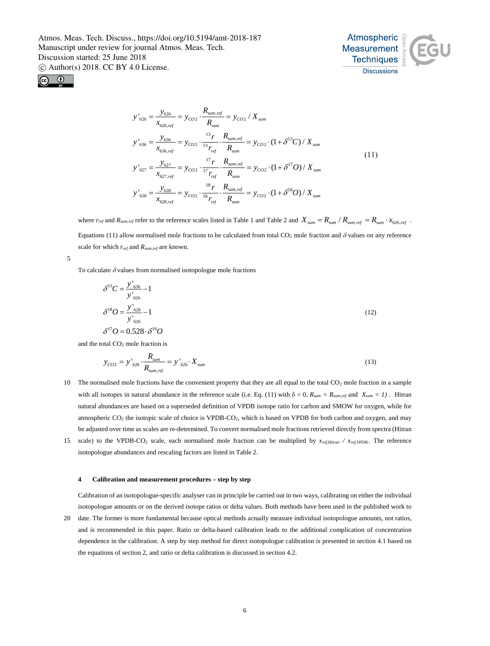



$$
y'_{626} = \frac{y_{626}}{x_{626,ref}} = y_{CO2} \cdot \frac{R_{sum,ref}}{R_{sum}} = y_{CO2} / X_{sum}
$$
  
\n
$$
y'_{636} = \frac{y_{636}}{x_{636,ref}} = y_{CO2} \cdot \frac{^{13}r}{^{13}r_{ref}} \cdot \frac{R_{sum,ref}}{R_{sum}} = y_{CO2} \cdot (1 + \delta^{13}C) / X_{sum}
$$
  
\n
$$
y'_{627} = \frac{y_{627}}{x_{627,ref}} = y_{CO2} \cdot \frac{^{17}r}{^{17}r_{ref}} \cdot \frac{R_{sum,ref}}{R_{sum}} = y_{CO2} \cdot (1 + \delta^{17}O) / X_{sum}
$$
  
\n
$$
y'_{628} = \frac{y_{628}}{x_{628,ref}} = y_{CO2} \cdot \frac{^{18}r}{^{18}r_{ref}} \cdot \frac{R_{sum,ref}}{R_{sum}} = y_{CO2} \cdot (1 + \delta^{18}O) / X_{sum}
$$
  
\n(11)

where  $r_{ref}$  and  $R_{sum,ref}$  refer to the reference scales listed in Table 1 and Table 2 and  $X_{sum} = R_{sum} / R_{sum,ref} = R_{sum} \cdot x_{626,ref}$ . Equations (11) allow normalised mole fractions to be calculated from total  $CO<sub>2</sub>$  mole fraction and  $\delta$  values on any reference scale for which *rref* and *Rsum,ref* are known.

5

To calculate  $\delta$  values from normalised isotopologue mole fractions

$$
\delta^{13}C = \frac{y'_{636}}{y'_{626}} - 1
$$
  

$$
\delta^{18}O = \frac{y'_{628}}{y'_{626}} - 1
$$
  

$$
\delta^{17}O = 0.528 \cdot \delta^{18}O
$$
 (12)

and the total CO<sub>2</sub> mole fraction is

$$
y_{CO2} = y'_{626} \cdot \frac{R_{sum}}{R_{sum,ref}} = y'_{626} \cdot X_{sum}
$$
 (13)

- 10 The normalised mole fractions have the convenient property that they are all equal to the total  $CO<sub>2</sub>$  mole fraction in a sample with all isotopes in natural abundance in the reference scale (i.e. Eq. (11) with  $\delta = 0$ ,  $R_{\text{sum}} = R_{\text{sum,ref}}$  and  $X_{\text{sum}} = 1$ ). Hitran natural abundances are based on a superseded definition of VPDB isotope ratio for carbon and SMOW for oxygen, while for atmospheric  $CO_2$  the isotopic scale of choice is VPDB-CO<sub>2</sub>, which is based on VPDB for both carbon and oxygen, and may be adjusted over time as scales are re-determined. To convert normalised mole fractions retrieved directly from spectra (Hitran
- 15 scale) to the VPDB-CO2 scale, each normalised mole fraction can be multiplied by *xref,Hitran / xref,VPDB.*. The reference isotopologue abundances and rescaling factors are listed in Table 2.

#### **4 Calibration and measurement procedures – step by step**

Calibration of an isotopologue-specific analyser can in principle be carried out in two ways, calibrating on either the individual isotopologue amounts or on the derived isotope ratios or delta values. Both methods have been used in the published work to

20 date. The former is more fundamental because optical methods actually measure individual isotopologue amounts, not ratios, and is recommended in this paper. Ratio or delta-based calibration leads to the additional complication of concentration dependence in the calibration. A step by step method for direct isotopologue calibration is presented in section 4.1 based on the equations of section 2, and ratio or delta calibration is discussed in section 4.2.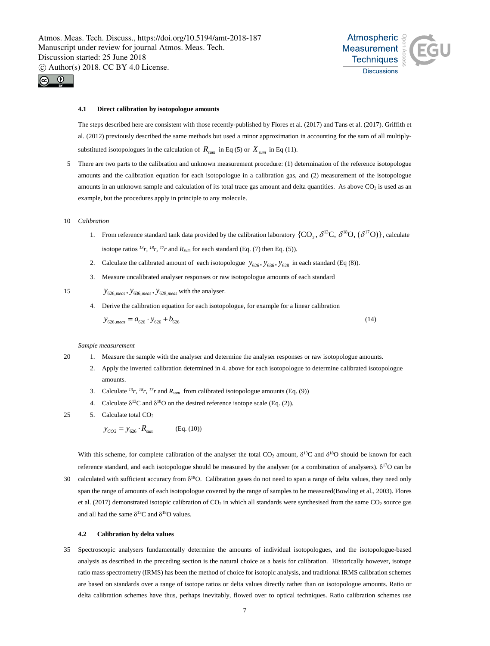

### **4.1 Direct calibration by isotopologue amounts**

The steps described here are consistent with those recently-published by Flores et al. (2017) and Tans et al. (2017). Griffith et al. (2012) previously described the same methods but used a minor approximation in accounting for the sum of all multiplysubstituted isotopologues in the calculation of  $R_{sum}$  in Eq (5) or  $X_{sum}$  in Eq (11).

Atmospheric **Measurement Techniques Discussions** 

- 5 There are two parts to the calibration and unknown measurement procedure: (1) determination of the reference isotopologue amounts and the calibration equation for each isotopologue in a calibration gas, and (2) measurement of the isotopologue amounts in an unknown sample and calculation of its total trace gas amount and delta quantities. As above  $CO<sub>2</sub>$  is used as an example, but the procedures apply in principle to any molecule.
- 10 *Calibration*
	- 1. From reference standard tank data provided by the calibration laboratory  $\{CO_2, \delta^{13}C, \delta^{18}O, (\delta^{17}O)\}\$ , calculate isotope ratios  $^{13}r$ ,  $^{18}r$ ,  $^{17}r$  and  $R_{sum}$  for each standard (Eq. (7) then Eq. (5)).
	- 2. Calculate the calibrated amount of each isotopologue  $y_{626}$ ,  $y_{636}$ ,  $y_{628}$  in each standard (Eq (8)).
	- 3. Measure uncalibrated analyser responses or raw isotopologue amounts of each standard

15  $y_{626, meas}$ ,  $y_{636, meas}$ ,  $y_{628, meas}$  with the analyser.

# 4. Derive the calibration equation for each isotopologue, for example for a linear calibration

$$
y_{626,meas} = a_{626} \cdot y_{626} + b_{626}
$$
 (14)

### *Sample measurement*

- 20 1. Measure the sample with the analyser and determine the analyser responses or raw isotopologue amounts.
	- 2. Apply the inverted calibration determined in 4. above for each isotopologue to determine calibrated isotopologue amounts.
	- 3. Calculate *13r, 18r, 17r* and *Rsum* from calibrated isotopologue amounts (Eq. (9))
	- 4. Calculate  $\delta^{13}$ C and  $\delta^{18}$ O on the desired reference isotope scale (Eq. (2)).
- 25 5. Calculate total  $CO<sub>2</sub>$

$$
y_{CO2} = y_{626} \cdot R_{sum} \quad (Eq. (10))
$$

With this scheme, for complete calibration of the analyser the total CO<sub>2</sub> amount,  $\delta^{13}$ C and  $\delta^{18}$ O should be known for each reference standard, and each isotopologue should be measured by the analyser (or a combination of analysers).  $\delta^{17}O$  can be

30 calculated with sufficient accuracy from  $\delta^{18}O$ . Calibration gases do not need to span a range of delta values, they need only span the range of amounts of each isotopologue covered by the range of samples to be measured(Bowling et al., 2003). Flores et al. (2017) demonstrated isotopic calibration of  $CO<sub>2</sub>$  in which all standards were synthesised from the same  $CO<sub>2</sub>$  source gas and all had the same  $\delta^{13}$ C and  $\delta^{18}$ O values.

#### **4.2 Calibration by delta values**

35 Spectroscopic analysers fundamentally determine the amounts of individual isotopologues, and the isotopologue-based analysis as described in the preceding section is the natural choice as a basis for calibration. Historically however, isotope ratio mass spectrometry (IRMS) has been the method of choice for isotopic analysis, and traditional IRMS calibration schemes are based on standards over a range of isotope ratios or delta values directly rather than on isotopologue amounts. Ratio or delta calibration schemes have thus, perhaps inevitably, flowed over to optical techniques. Ratio calibration schemes use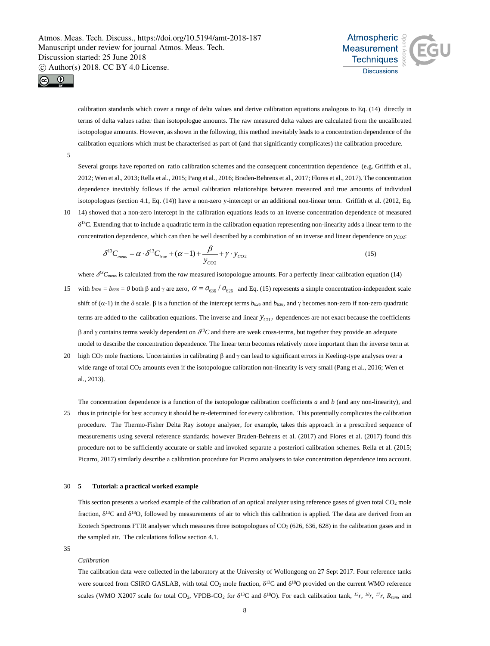



calibration standards which cover a range of delta values and derive calibration equations analogous to Eq. (14) directly in terms of delta values rather than isotopologue amounts. The raw measured delta values are calculated from the uncalibrated isotopologue amounts. However, as shown in the following, this method inevitably leads to a concentration dependence of the calibration equations which must be characterised as part of (and that significantly complicates) the calibration procedure.

5

Several groups have reported on ratio calibration schemes and the consequent concentration dependence (e.g. Griffith et al., 2012; Wen et al., 2013; Rella et al., 2015; Pang et al., 2016; Braden-Behrens et al., 2017; Flores et al., 2017). The concentration dependence inevitably follows if the actual calibration relationships between measured and true amounts of individual isotopologues (section 4.1, Eq. (14)) have a non-zero y-intercept or an additional non-linear term. Griffith et al. (2012, Eq.

10 14) showed that a non-zero intercept in the calibration equations leads to an inverse concentration dependence of measured  $\delta^{13}$ C. Extending that to include a quadratic term in the calibration equation representing non-linearity adds a linear term to the concentration dependence, which can then be well described by a combination of an inverse and linear dependence on  $y_{CO2}$ :

$$
\delta^{13}C_{meas} = \alpha \cdot \delta^{13}C_{true} + (\alpha - 1) + \frac{\beta}{y_{CO2}} + \gamma \cdot y_{CO2}
$$
\n(15)

where  $\delta^{13}C_{meas}$  is calculated from the *raw* measured isotopologue amounts. For a perfectly linear calibration equation (14)

- 15 with  $b_{626} = b_{636} = 0$  both  $\beta$  and  $\gamma$  are zero,  $\alpha = a_{636}/a_{626}$  and Eq. (15) represents a simple concentration-independent scale shift of (α-1) in the δ scale. β is a function of the intercept terms *b626* and *b636*, and γ becomes non-zero if non-zero quadratic terms are added to the calibration equations. The inverse and linear  $y_{CO2}$  dependences are not exact because the coefficients β and γ contains terms weakly dependent on δ*13C* and there are weak cross-terms, but together they provide an adequate model to describe the concentration dependence. The linear term becomes relatively more important than the inverse term at
- 20 high CO<sub>2</sub> mole fractions. Uncertainties in calibrating β and γ can lead to significant errors in Keeling-type analyses over a wide range of total CO<sub>2</sub> amounts even if the isotopologue calibration non-linearity is very small (Pang et al., 2016; Wen et al., 2013).

The concentration dependence is a function of the isotopologue calibration coefficients *a* and *b* (and any non-linearity), and 25 thus in principle for best accuracy it should be re-determined for every calibration. This potentially complicates the calibration procedure. The Thermo-Fisher Delta Ray isotope analyser, for example, takes this approach in a prescribed sequence of measurements using several reference standards; however Braden-Behrens et al. (2017) and Flores et al. (2017) found this procedure not to be sufficiently accurate or stable and invoked separate a posteriori calibration schemes. Rella et al. (2015; Picarro, 2017) similarly describe a calibration procedure for Picarro analysers to take concentration dependence into account.

## 30 **5 Tutorial: a practical worked example**

This section presents a worked example of the calibration of an optical analyser using reference gases of given total CO<sub>2</sub> mole fraction,  $\delta^{13}$ C and  $\delta^{18}$ O, followed by measurements of air to which this calibration is applied. The data are derived from an Ecotech Spectronus FTIR analyser which measures three isotopologues of CO<sub>2</sub> (626, 636, 628) in the calibration gases and in the sampled air. The calculations follow section 4.1.

35

# *Calibration*

The calibration data were collected in the laboratory at the University of Wollongong on 27 Sept 2017. Four reference tanks were sourced from CSIRO GASLAB, with total CO<sub>2</sub> mole fraction, δ<sup>13</sup>C and δ<sup>18</sup>O provided on the current WMO reference scales (WMO X2007 scale for total CO<sub>2</sub>, VPDB-CO<sub>2</sub> for  $\delta^{13}$ C and  $\delta^{18}$ O). For each calibration tank, <sup>13</sup>r, <sup>18</sup>r, <sup>17</sup>r,  $R_{sum}$ , and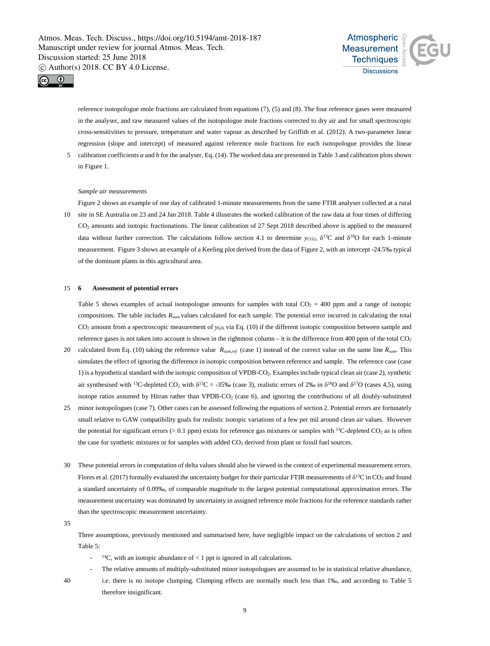



reference isotopologue mole fractions are calculated from equations (7), (5) and (8). The four reference gases were measured in the analyser, and raw measured values of the isotopologue mole fractions corrected to dry air and for small spectroscopic cross-sensitivities to pressure, temperature and water vapour as described by Griffith et al. (2012). A two-parameter linear regression (slope and intercept) of measured against reference mole fractions for each isotopologue provides the linear

5 calibration coefficients *a* and *b* for the analyser, Eq. (14). The worked data are presented in Table 3 and calibration plots shown in Figure 1.

### *Sample air measurements*

Figure 2 shows an example of one day of calibrated 1-minute measurements from the same FTIR analyser collected at a rural 10 site in SE Australia on 23 and 24 Jan 2018. Table 4 illustrates the worked calibration of the raw data at four times of differing CO2 amounts and isotopic fractionations. The linear calibration of 27 Sept 2018 described above is applied to the measured data without further correction. The calculations follow section 4.1 to determine  $y_{CO2}$ ,  $\delta^{13}$ C and  $\delta^{18}$ O for each 1-minute measurement. Figure 3 shows an example of a Keeling plot derived from the data of Figure 2, with an intercept -24.5‰ typical of the dominant plants in this agricultural area.

### 15 **6 Assessment of potential errors**

Table 5 shows examples of actual isotopologue amounts for samples with total  $CO<sub>2</sub> = 400$  ppm and a range of isotopic compositions. The table includes *Rsu*<sup>m</sup> values calculated for each sample. The potential error incurred in calculating the total CO<sub>2</sub> amount from a spectroscopic measurement of *y*<sub>626</sub> via Eq. (10) if the different isotopic composition between sample and reference gases is not taken into account is shown in the rightmost column – it is the difference from 400 ppm of the total  $CO<sub>2</sub>$ 

- 20 calculated from Eq. (10) taking the reference value *Rsum,ref* (case 1) instead of the correct value on the same line *Rsum*. This simulates the effect of ignoring the difference in isotopic composition between reference and sample. The reference case (case 1) is a hypothetical standard with the isotopic composition of VPDB-CO2. Examples include typical clean air (case 2), synthetic air synthesised with <sup>13</sup>C-depleted CO<sub>2</sub> with  $\delta^{13}C = -35\%$  (case 3), realistic errors of 2% in  $\delta^{18}O$  and  $\delta^{17}O$  (cases 4,5), using isotope ratios assumed by Hitran rather than VPDB-CO<sub>2</sub> (case 6), and ignoring the contributions of all doubly-substituted
- 25 minor isotopologues (case 7). Other cases can be assessed following the equations of section 2. Potential errors are fortunately small relative to GAW compatibility goals for realistic isotopic variations of a few per mil around clean air values. However the potential for significant errors ( $> 0.1$  ppm) exists for reference gas mixtures or samples with <sup>13</sup>C-depleted CO<sub>2</sub> as is often the case for synthetic mixtures or for samples with added CO<sub>2</sub> derived from plant or fossil fuel sources.
- 30 These potential errors in computation of delta values should also be viewed in the context of experimental measurement errors. Flores et al. (2017) formally evaluated the uncertainty budget for their particular FTIR measurements of  $\delta^{13}C$  in CO<sub>2</sub> and found a standard uncertainty of 0.09‰, of comparable magnitude to the largest potential computational approximation errors. The measurement uncertainty was dominated by uncertainty in assigned reference mole fractions for the reference standards rather than the spectroscopic measurement uncertainty.
- 35

Three assumptions, previously mentioned and summarised here, have negligible impact on the calculations of section 2 and Table 5:

 $^{14}$ C, with an isotopic abundance of < 1 ppt is ignored in all calculations.

therefore insignificant.

- The relative amounts of multiply-substituted minor isotopologues are assumed to be in statistical relative abundance,
- 40 i.e. there is no isotope clumping. Clumping effects are normally much less than 1‰, and according to Table 5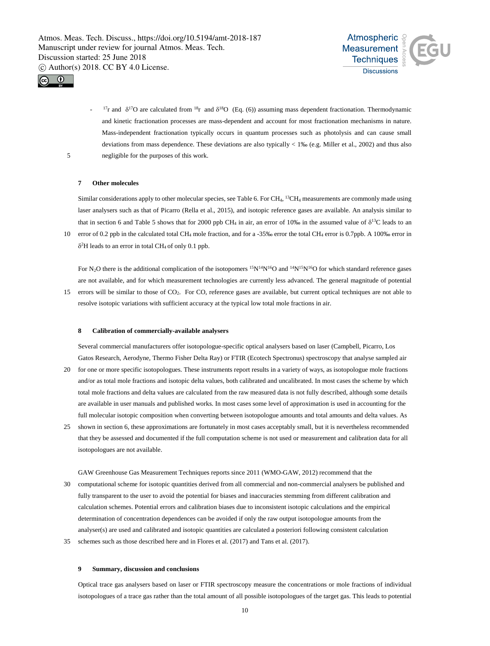



 $17r$  and  $\delta^{17}O$  are calculated from  $18r$  and  $\delta^{18}O$  (Eq. (6)) assuming mass dependent fractionation. Thermodynamic and kinetic fractionation processes are mass-dependent and account for most fractionation mechanisms in nature. Mass-independent fractionation typically occurs in quantum processes such as photolysis and can cause small deviations from mass dependence. These deviations are also typically < 1‰ (e.g. Miller et al., 2002) and thus also 5 negligible for the purposes of this work.

### **7 Other molecules**

Similar considerations apply to other molecular species, see Table 6. For  $CH<sub>4</sub>$ , <sup>13</sup>CH<sub>4</sub> measurements are commonly made using laser analysers such as that of Picarro (Rella et al., 2015), and isotopic reference gases are available. An analysis similar to that in section 6 and Table 5 shows that for 2000 ppb CH<sub>4</sub> in air, an error of 10‰ in the assumed value of  $\delta^{13}C$  leads to an

10 error of 0.2 ppb in the calculated total CH4 mole fraction, and for a -35‰ error the total CH4 error is 0.7ppb. A 100‰ error in  $\delta^2$ H leads to an error in total CH<sub>4</sub> of only 0.1 ppb.

For N<sub>2</sub>O there is the additional complication of the isotopomers  $15N^{14}N^{16}O$  and  $14N^{15}N^{16}O$  for which standard reference gases are not available, and for which measurement technologies are currently less advanced. The general magnitude of potential 15 errors will be similar to those of CO2. For CO, reference gases are available, but current optical techniques are not able to

resolve isotopic variations with sufficient accuracy at the typical low total mole fractions in air.

### **8 Calibration of commercially-available analysers**

Several commercial manufacturers offer isotopologue-specific optical analysers based on laser (Campbell, Picarro, Los Gatos Research, Aerodyne, Thermo Fisher Delta Ray) or FTIR (Ecotech Spectronus) spectroscopy that analyse sampled air

- 20 for one or more specific isotopologues. These instruments report results in a variety of ways, as isotopologue mole fractions and/or as total mole fractions and isotopic delta values, both calibrated and uncalibrated. In most cases the scheme by which total mole fractions and delta values are calculated from the raw measured data is not fully described, although some details are available in user manuals and published works. In most cases some level of approximation is used in accounting for the full molecular isotopic composition when converting between isotopologue amounts and total amounts and delta values. As
- 25 shown in section 6, these approximations are fortunately in most cases acceptably small, but it is nevertheless recommended that they be assessed and documented if the full computation scheme is not used or measurement and calibration data for all isotopologues are not available.
- GAW Greenhouse Gas Measurement Techniques reports since 2011 (WMO-GAW, 2012) recommend that the 30 computational scheme for isotopic quantities derived from all commercial and non-commercial analysers be published and fully transparent to the user to avoid the potential for biases and inaccuracies stemming from different calibration and calculation schemes. Potential errors and calibration biases due to inconsistent isotopic calculations and the empirical determination of concentration dependences can be avoided if only the raw output isotopologue amounts from the analyser(s) are used and calibrated and isotopic quantities are calculated a posteriori following consistent calculation 35 schemes such as those described here and in Flores et al. (2017) and Tans et al. (2017).

## **9 Summary, discussion and conclusions**

Optical trace gas analysers based on laser or FTIR spectroscopy measure the concentrations or mole fractions of individual isotopologues of a trace gas rather than the total amount of all possible isotopologues of the target gas. This leads to potential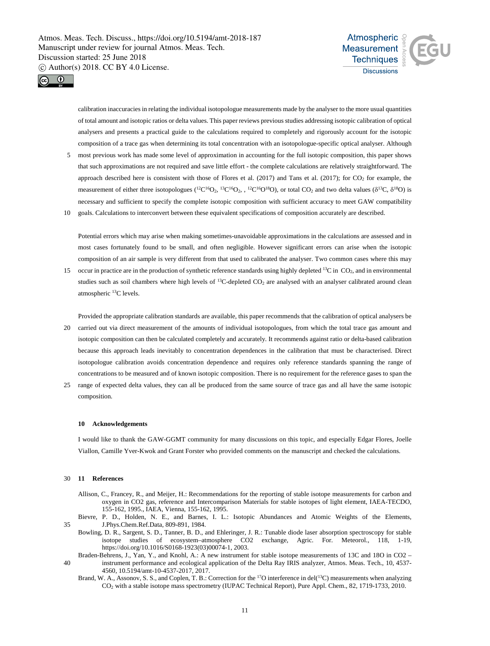



calibration inaccuracies in relating the individual isotopologue measurements made by the analyser to the more usual quantities of total amount and isotopic ratios or delta values. This paper reviews previous studies addressing isotopic calibration of optical analysers and presents a practical guide to the calculations required to completely and rigorously account for the isotopic composition of a trace gas when determining its total concentration with an isotopologue-specific optical analyser. Although

- 5 most previous work has made some level of approximation in accounting for the full isotopic composition, this paper shows that such approximations are not required and save little effort - the complete calculations are relatively straightforward. The approach described here is consistent with those of Flores et al.  $(2017)$  and Tans et al.  $(2017)$ ; for  $CO<sub>2</sub>$  for example, the measurement of either three isotopologues  $(^{12}C^{16}O_2, ^{12}C^{16}O_2, ^{12}C^{16}O^{18}O)$ , or total CO<sub>2</sub> and two delta values  $(\delta^{13}C, \delta^{18}O)$  is necessary and sufficient to specify the complete isotopic composition with sufficient accuracy to meet GAW compatibility
- 10 goals. Calculations to interconvert between these equivalent specifications of composition accurately are described.

Potential errors which may arise when making sometimes-unavoidable approximations in the calculations are assessed and in most cases fortunately found to be small, and often negligible. However significant errors can arise when the isotopic composition of an air sample is very different from that used to calibrated the analyser. Two common cases where this may

15 occur in practice are in the production of synthetic reference standards using highly depleted  $^{13}C$  in CO<sub>2</sub>, and in environmental studies such as soil chambers where high levels of <sup>13</sup>C-depleted CO<sub>2</sub> are analysed with an analyser calibrated around clean atmospheric 13C levels.

Provided the appropriate calibration standards are available, this paper recommends that the calibration of optical analysers be

- 20 carried out via direct measurement of the amounts of individual isotopologues, from which the total trace gas amount and isotopic composition can then be calculated completely and accurately. It recommends against ratio or delta-based calibration because this approach leads inevitably to concentration dependences in the calibration that must be characterised. Direct isotopologue calibration avoids concentration dependence and requires only reference standards spanning the range of concentrations to be measured and of known isotopic composition. There is no requirement for the reference gases to span the
- 25 range of expected delta values, they can all be produced from the same source of trace gas and all have the same isotopic composition.

#### **10 Acknowledgements**

I would like to thank the GAW-GGMT community for many discussions on this topic, and especially Edgar Flores, Joelle Viallon, Camille Yver-Kwok and Grant Forster who provided comments on the manuscript and checked the calculations.

### 30 **11 References**

- Allison, C., Francey, R., and Meijer, H.: Recommendations for the reporting of stable isotope measurements for carbon and oxygen in CO2 gas, reference and Intercomparison Materials for stable isotopes of light element, IAEA-TECDO, 155-162, 1995., IAEA, Vienna, 155-162, 1995.
- Bievre, P. D., Holden, N. E., and Barnes, I. L.: Isotopic Abundances and Atomic Weights of the Elements, 35 J.Phys.Chem.Ref.Data, 809-891, 1984.
	- Bowling, D. R., Sargent, S. D., Tanner, B. D., and Ehleringer, J. R.: Tunable diode laser absorption spectroscopy for stable isotope studies of ecosystem–atmosphere CO2 exchange, Agric. For. Meteorol., 118, 1-19, https://doi.org/10.1016/S0168-1923(03)00074-1, 2003.
- Braden-Behrens, J., Yan, Y., and Knohl, A.: A new instrument for stable isotope measurements of 13C and 18O in CO2 40 instrument performance and ecological application of the Delta Ray IRIS analyzer, Atmos. Meas. Tech., 10, 4537- 4560, 10.5194/amt-10-4537-2017, 2017.
	- Brand, W. A., Assonov, S. S., and Coplen, T. B.: Correction for the <sup>17</sup>O interference in del(<sup>13</sup>C) measurements when analyzing CO2 with a stable isotope mass spectrometry (IUPAC Technical Report), Pure Appl. Chem., 82, 1719-1733, 2010.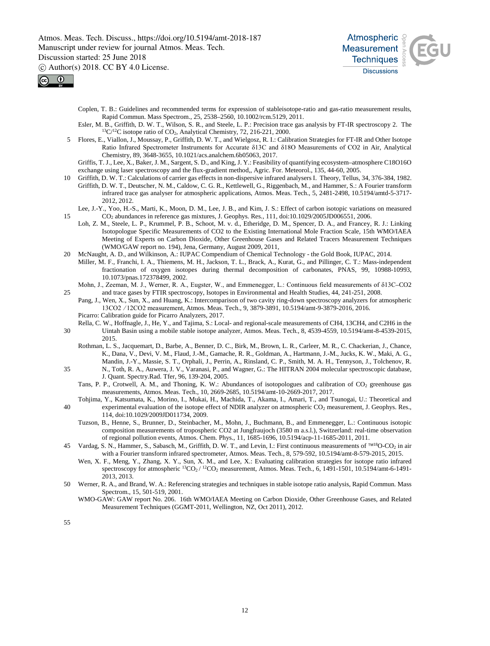Atmos. Meas. Tech. Discuss., https://doi.org/10.5194/amt-2018-187 Manuscript under review for journal Atmos. Meas. Tech. Discussion started: 25 June 2018

c Author(s) 2018. CC BY 4.0 License.





Coplen, T. B.: Guidelines and recommended terms for expression of stableisotope-ratio and gas-ratio measurement results, Rapid Commun. Mass Spectrom., 25, 2538–2560, 10.1002/rcm.5129, 2011.

- Esler, M. B., Griffith, D. W. T., Wilson, S. R., and Steele, L. P.: Precision trace gas analysis by FT-IR spectroscopy 2. The  $^{13}C/^{12}C$  isotope ratio of CO<sub>2</sub>, Analytical Chemistry, 72, 216-221, 2000.
- 5 Flores, E., Viallon, J., Moussay, P., Griffith, D. W. T., and Wielgosz, R. I.: Calibration Strategies for FT-IR and Other Isotope Ratio Infrared Spectrometer Instruments for Accurate δ13C and δ18O Measurements of CO2 in Air, Analytical Chemistry, 89, 3648-3655, 10.1021/acs.analchem.6b05063, 2017.

Griffis, T. J., Lee, X., Baker, J. M., Sargent, S. D., and King, J. Y.: Feasibility of quantifying ecosystem–atmosphere C18O16O exchange using laser spectroscopy and the flux-gradient method,, Agric. For. Meteorol., 135, 44-60, 2005.

- 10 Griffith, D. W. T.: Calculations of carrier gas effects in non-dispersive infrared analysers I. Theory, Tellus, 34, 376-384, 1982.
- Griffith, D. W. T., Deutscher, N. M., Caldow, C. G. R., Kettlewell, G., Riggenbach, M., and Hammer, S.: A Fourier transform infrared trace gas analyser for atmospheric applications, Atmos. Meas. Tech., 5, 2481-2498, 10.5194/amtd-5-3717- 2012, 2012.

Lee, J.-Y., Yoo, H.-S., Marti, K., Moon, D. M., Lee, J. B., and Kim, J. S.: Effect of carbon isotopic variations on measured 15 CO2 abundances in reference gas mixtures, J. Geophys. Res., 111, doi:10.1029/2005JD006551, 2006.

- Loh, Z. M., Steele, L. P., Krummel, P. B., Schoot, M. v. d., Etheridge, D. M., Spencer, D. A., and Francey, R. J.: Linking Isotopologue Specific Measurements of CO2 to the Existing International Mole Fraction Scale, 15th WMO/IAEA Meeting of Experts on Carbon Dioxide, Other Greenhouse Gases and Related Tracers Measurement Techniques (WMO/GAW report no. 194), Jena, Germany, August 2009, 2011,
- 20 McNaught, A. D., and Wilkinson, A.: IUPAC Compendium of Chemical Technology the Gold Book, IUPAC, 2014. Miller, M. F., Franchi, I. A., Thiemens, M. H., Jackson, T. L., Brack, A., Kurat, G., and Pillinger, C. T.: Mass-independent fractionation of oxygen isotopes during thermal decomposition of carbonates, PNAS, 99, 10988-10993, 10.1073/pnas.172378499, 2002.
- Mohn, J., Zeeman, M. J., Werner, R. A., Eugster, W., and Emmenegger, L.: Continuous field measurements of δ13C–CO2 25 and trace gases by FTIR spectroscopy, Isotopes in Environmental and Health Studies, 44, 241-251, 2008.

Pang, J., Wen, X., Sun, X., and Huang, K.: Intercomparison of two cavity ring-down spectroscopy analyzers for atmospheric 13CO2  ∕ 12CO2 measurement, Atmos. Meas. Tech., 9, 3879-3891, 10.5194/amt-9-3879-2016, 2016. Picarro: Calibration guide for Picarro Analyzers, 2017.

- Rella, C. W., Hoffnagle, J., He, Y., and Tajima, S.: Local- and regional-scale measurements of CH4, 13CH4, and C2H6 in the 30 Uintah Basin using a mobile stable isotope analyzer, Atmos. Meas. Tech., 8, 4539-4559, 10.5194/amt-8-4539-2015, 2015.
	- Rothman, L. S., Jacquemart, D., Barbe, A., Benner, D. C., Birk, M., Brown, L. R., Carleer, M. R., C. Chackerian, J., Chance, K., Dana, V., Devi, V. M., Flaud, J.-M., Gamache, R. R., Goldman, A., Hartmann, J.-M., Jucks, K. W., Maki, A. G., Mandin, J.-Y., Massie, S. T., Orphali, J., Perrin, A., Rinsland, C. P., Smith, M. A. H., Tennyson, J., Tolchenov, R.
- 35 N., Toth, R. A., Auwera, J. V., Varanasi, P., and Wagner, G.: The HITRAN 2004 molecular spectroscopic database, J. Quant. Spectry.Rad. Tfer, 96, 139-204, 2005.
	- Tans, P. P., Crotwell, A. M., and Thoning, K. W.: Abundances of isotopologues and calibration of CO<sub>2</sub> greenhouse gas measurements, Atmos. Meas. Tech., 10, 2669-2685, 10.5194/amt-10-2669-2017, 2017.
- Tohjima, Y., Katsumata, K., Morino, I., Mukai, H., Machida, T., Akama, I., Amari, T., and Tsunogai, U.: Theoretical and 40 experimental evaluation of the isotope effect of NDIR analyzer on atmospheric CO<sub>2</sub> measurement, J. Geophys. Res., 114, doi:10.1029/2009JD011734, 2009.
	- Tuzson, B., Henne, S., Brunner, D., Steinbacher, M., Mohn, J., Buchmann, B., and Emmenegger, L.: Continuous isotopic composition measurements of tropospheric CO2 at Jungfraujoch (3580 m a.s.l.), Switzerland: real-time observation of regional pollution events, Atmos. Chem. Phys., 11, 1685-1696, 10.5194/acp-11-1685-2011, 2011.
- 45 Vardag, S. N., Hammer, S., Sabasch, M., Griffith, D. W. T., and Levin, I.: First continuous measurements of  $18^{\circ}$ N $18^{\circ}$ O-CO<sub>2</sub> in air with a Fourier transform infrared spectrometer, Atmos. Meas. Tech., 8, 579-592, 10.5194/amt-8-579-2015, 2015.
	- Wen, X. F., Meng, Y., Zhang, X. Y., Sun, X. M., and Lee, X.: Evaluating calibration strategies for isotope ratio infrared spectroscopy for atmospheric <sup>13</sup>CO<sub>2</sub>/<sup>12</sup>CO<sub>2</sub> measurement, Atmos. Meas. Tech., 6, 1491-1501, 10.5194/amt-6-1491-2013, 2013.
- 50 Werner, R. A., and Brand, W. A.: Referencing strategies and techniques in stable isotope ratio analysis, Rapid Commun. Mass Spectrom., 15, 501-519, 2001.
	- WMO-GAW: GAW report No. 206. 16th WMO/IAEA Meeting on Carbon Dioxide, Other Greenhouse Gases, and Related Measurement Techniques (GGMT-2011, Wellington, NZ, Oct 2011), 2012.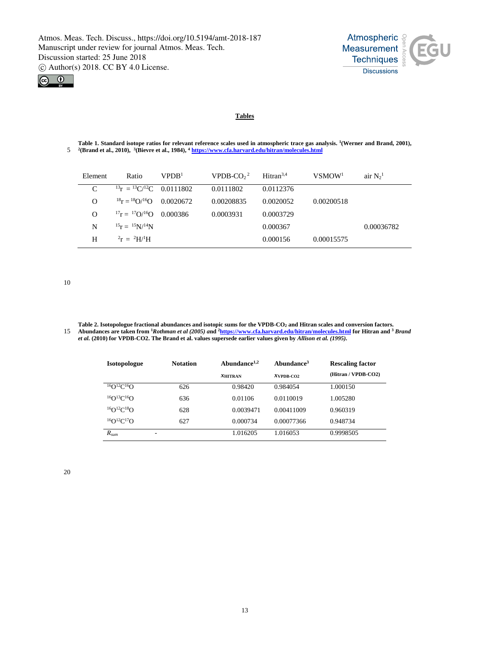



# **Tables**

Table 1. Standard isotope ratios for relevant reference scales used in atmospheric trace gas analysis. <sup>1</sup>(Werner and Brand, 2001), <sup>2</sup>(Brand et al., 2010), <sup>3</sup>(Bievre et al., 1984), <sup>4</sup> https://www.cfa.harvard.edu/hitran/

| Element  | Ratio                                            | VPPB <sup>1</sup> | VPDB-CO $2^2$ | Hitran <sup>3,4</sup> | VSMOW <sup>1</sup> | air $N_2$ <sup>1</sup> |
|----------|--------------------------------------------------|-------------------|---------------|-----------------------|--------------------|------------------------|
| C        | $^{13}$ r = $^{13}$ C/ <sup>12</sup> C 0.0111802 |                   | 0.0111802     | 0.0112376             |                    |                        |
| $\Omega$ | $^{18}$ r = $^{18}$ O/ <sup>16</sup> O 0.0020672 |                   | 0.00208835    | 0.0020052             | 0.00200518         |                        |
| $\Omega$ | $^{17}$ r = $^{17}$ O/ <sup>16</sup> O 0.000386  |                   | 0.0003931     | 0.0003729             |                    |                        |
| N        | $^{15}r = {^{15}N}/{^{14}N}$                     |                   |               | 0.000367              |                    | 0.00036782             |
| H        | $r = {}^{2}H/{}^{1}H$                            |                   |               | 0.000156              | 0.00015575         |                        |

10

**Table 2. Isotopologue fractional abundances and isotopic sums for the VPDB-CO2 and Hitran scales and conversion factors. Abundances are taken from 1***Rothman et al (2005) a***nd 2 https://www.cfa.harvard.edu/hitran/molecules.html for Hitran and** 15 **<sup>3</sup>** *Brand et al.* **(2010) for VPDB-CO2. The Brand et al. values supersede earlier values given by** *Allison et al. (1995).*

| <b>Isotopologue</b>              | <b>Notation</b> | Abundance $1,2$ | Abundance <sup>3</sup> | <b>Rescaling factor</b> |  |
|----------------------------------|-----------------|-----------------|------------------------|-------------------------|--|
|                                  |                 | $X$ HITRAN      | $X$ VPDB-CO2           | (Hitran / VPDB-CO2)     |  |
| ${}^{16}O$ ${}^{12}C$ ${}^{16}O$ | 626             | 0.98420         | 0.984054               | 1.000150                |  |
| ${}^{16}O$ ${}^{13}C$ ${}^{16}O$ | 636             | 0.01106         | 0.0110019              | 1.005280                |  |
| ${}^{16}O$ ${}^{12}C$ ${}^{18}O$ | 628             | 0.0039471       | 0.00411009             | 0.960319                |  |
| ${}^{16}O$ ${}^{12}C$ ${}^{17}O$ | 627             | 0.000734        | 0.00077366             | 0.948734                |  |
| $R_{sum}$<br>۰                   |                 | 1.016205        | 1.016053               | 0.9998505               |  |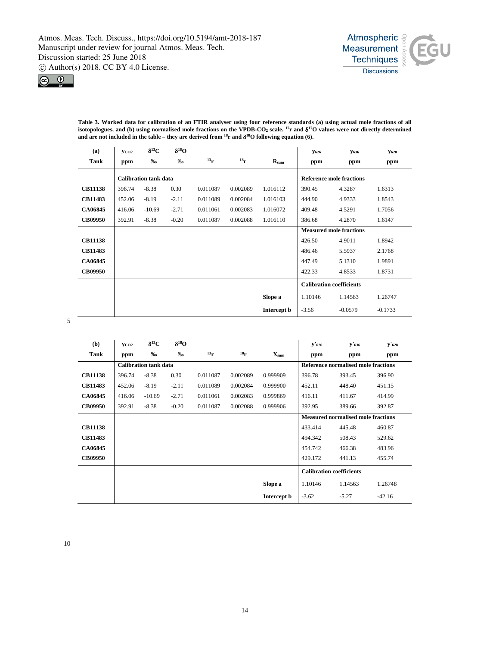



**Table 3. Worked data for calibration of an FTIR analyser using four reference standards (a) using actual mole fractions of all isotopologues, and (b) using normalised mole fractions on the VPDB-CO2 scale. 17r and** δ**17O values were not directly determined**  and are not included in the table – they are derived from <sup>18</sup>r and  $\delta^{18}$ O following equation (6).

| (a)            | <b>YCO2</b> | $\delta^{13}C$               | $\delta^{18}O$ |           |                 |                    | <b>Y626</b> | <b>Y636</b>                     | <b>Y628</b> |
|----------------|-------------|------------------------------|----------------|-----------|-----------------|--------------------|-------------|---------------------------------|-------------|
| Tank           | ppm         | %                            | %              | $^{13}$ r | 18 <sub>r</sub> | $R_{sum}$          | ppm         | ppm                             | ppm         |
|                |             | <b>Calibration tank data</b> |                |           |                 |                    |             | <b>Reference mole fractions</b> |             |
| <b>CB11138</b> | 396.74      | $-8.38$                      | 0.30           | 0.011087  | 0.002089        | 1.016112           | 390.45      | 4.3287                          | 1.6313      |
| <b>CB11483</b> | 452.06      | $-8.19$                      | $-2.11$        | 0.011089  | 0.002084        | 1.016103           | 444.90      | 4.9333                          | 1.8543      |
| <b>CA06845</b> | 416.06      | $-10.69$                     | $-2.71$        | 0.011061  | 0.002083        | 1.016072           | 409.48      | 4.5291                          | 1.7056      |
| <b>CB09950</b> | 392.91      | $-8.38$                      | $-0.20$        | 0.011087  | 0.002088        | 1.016110           | 386.68      | 4.2870                          | 1.6147      |
|                |             |                              |                |           |                 |                    |             | <b>Measured mole fractions</b>  |             |
| <b>CB11138</b> |             |                              |                |           |                 |                    | 426.50      | 4.9011                          | 1.8942      |
| <b>CB11483</b> |             |                              |                |           |                 |                    | 486.46      | 5.5937                          | 2.1768      |
| <b>CA06845</b> |             |                              |                |           |                 |                    | 447.49      | 5.1310                          | 1.9891      |
| <b>CB09950</b> |             |                              |                |           |                 |                    | 422.33      | 4.8533                          | 1.8731      |
|                |             |                              |                |           |                 |                    |             | <b>Calibration coefficients</b> |             |
|                |             |                              |                |           |                 | Slope a            | 1.10146     | 1.14563                         | 1.26747     |
|                |             |                              |                |           |                 | Intercept <b>b</b> | $-3.56$     | $-0.0579$                       | $-0.1733$   |

5

| (b)            | <b>YCO2</b> | $\delta^{13}C$               | $\delta^{18}O$ |                                     |                 |                    | $y'$ 626 | $y'$ 636                                  | $y'$ 628 |
|----------------|-------------|------------------------------|----------------|-------------------------------------|-----------------|--------------------|----------|-------------------------------------------|----------|
| Tank           | ppm         | %                            | %              | $^{13}$ r                           | 18 <sub>r</sub> | X <sub>sum</sub>   | ppm      | ppm                                       | ppm      |
|                |             | <b>Calibration tank data</b> |                | Reference normalised mole fractions |                 |                    |          |                                           |          |
| <b>CB11138</b> | 396.74      | $-8.38$                      | 0.30           | 0.011087                            | 0.002089        | 0.999909           | 396.78   | 393.45                                    | 396.90   |
| <b>CB11483</b> | 452.06      | $-8.19$                      | $-2.11$        | 0.011089                            | 0.002084        | 0.999900           | 452.11   | 448.40                                    | 451.15   |
| CA06845        | 416.06      | $-10.69$                     | $-2.71$        | 0.011061                            | 0.002083        | 0.999869           | 416.11   | 411.67                                    | 414.99   |
| <b>CB09950</b> | 392.91      | $-8.38$                      | $-0.20$        | 0.011087                            | 0.002088        | 0.999906           | 392.95   | 389.66                                    | 392.87   |
|                |             |                              |                |                                     |                 |                    |          | <b>Measured normalised mole fractions</b> |          |
| <b>CB11138</b> |             |                              |                |                                     |                 |                    | 433.414  | 445.48                                    | 460.87   |
| CB11483        |             |                              |                |                                     |                 |                    | 494.342  | 508.43                                    | 529.62   |
| CA06845        |             |                              |                |                                     |                 |                    | 454.742  | 466.38                                    | 483.96   |
| <b>CB09950</b> |             |                              |                |                                     |                 |                    | 429.172  | 441.13                                    | 455.74   |
|                |             |                              |                |                                     |                 |                    |          | <b>Calibration coefficients</b>           |          |
|                |             |                              |                |                                     |                 | Slope a            | 1.10146  | 1.14563                                   | 1.26748  |
|                |             |                              |                |                                     |                 | Intercept <b>b</b> | $-3.62$  | $-5.27$                                   | $-42.16$ |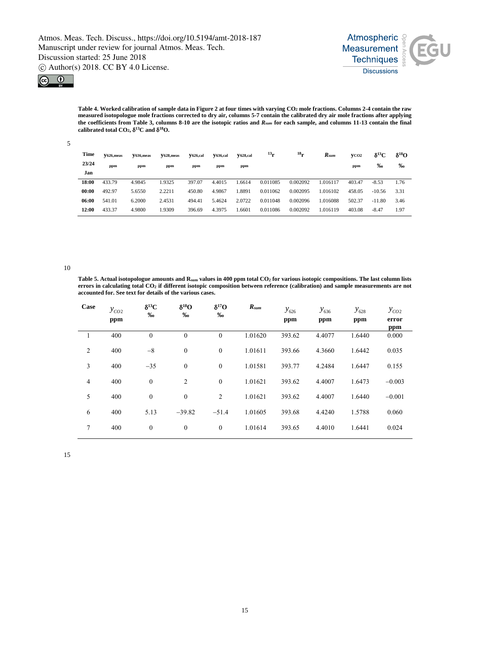



**Table 4. Worked calibration of sample data in Figure 2 at four times with varying CO2 mole fractions. Columns 2-4 contain the raw measured isotopologue mole fractions corrected to dry air, columns 5-7 contain the calibrated dry air mole fractions after applying the coefficients from Table 3, columns 8-10 are the isotopic ratios and** *Rsum* **for each sample, and columns 11-13 contain the final calibrated total CO2,** δ**13C and** δ**18O.**

| Time<br>23/24<br>Jan | $V626$ , meas<br>ppm | V636, meas<br>ppm | <b>Y628, meas</b><br>ppm | <b>V626,cal</b><br>ppm | <b>Y636,cal</b><br>ppm | <b>Y628,cal</b><br>ppm | $^{13}$ r | $^{18}$ r | $R_{sum}$ | VCO <sub>2</sub><br>ppm | $\delta^{13}C$<br>‰ | $\delta^{18}$ O<br>% |
|----------------------|----------------------|-------------------|--------------------------|------------------------|------------------------|------------------------|-----------|-----------|-----------|-------------------------|---------------------|----------------------|
| 18:00                | 433.79               | 4.9845            | 1.9325                   | 397.07                 | 4.4015                 | 1.6614                 | 0.011085  | 0.002092  | 1.016117  | 403.47                  | $-8.53$             | 1.76                 |
| 00:00                | 492.97               | 5.6550            | 2.2211                   | 450.80                 | 4.9867                 | 1.8891                 | 0.011062  | 0.002095  | 1.016102  | 458.05                  | $-10.56$            | 3.31                 |
| 06:00                | 541.01               | 6.2000            | 2.4531                   | 494.41                 | 5.4624                 | 2.0722                 | 0.011048  | 0.002096  | 1.016088  | 502.37                  | $-11.80$            | 3.46                 |
| 12:00                | 433.37               | 4.9800            | 1.9309                   | 396.69                 | 4.3975                 | 1.6601                 | 0.011086  | 0.002092  | 1.016119  | 403.08                  | $-8.47$             | 1.97                 |

10

5

**Table 5. Actual isotopologue amounts and Rsum values in 400 ppm total CO2 for various isotopic compositions. The last column lists errors in calculating total CO2 if different isotopic composition between reference (calibration) and sample measurements are not accounted for. See text for details of the various cases.**

| Case           | $y_{CO2}$ | $\delta^{13}C$<br>% | $\delta^{18}O$<br>% | $\delta^{17}$ O<br>% | $R_{sum}$ | $y_{626}$ | $y_{636}$ | $y_{628}$ | $y_{co2}$    |
|----------------|-----------|---------------------|---------------------|----------------------|-----------|-----------|-----------|-----------|--------------|
|                | ppm       |                     |                     |                      |           | ppm       | ppm       | ppm       | error<br>ppm |
| 1              | 400       | $\mathbf{0}$        | $\mathbf{0}$        | $\mathbf{0}$         | 1.01620   | 393.62    | 4.4077    | 1.6440    | 0.000        |
| $\overline{2}$ | 400       | $-8$                | $\boldsymbol{0}$    | $\mathbf{0}$         | 1.01611   | 393.66    | 4.3660    | 1.6442    | 0.035        |
| 3              | 400       | $-35$               | $\mathbf{0}$        | $\mathbf{0}$         | 1.01581   | 393.77    | 4.2484    | 1.6447    | 0.155        |
| $\overline{4}$ | 400       | $\mathbf{0}$        | $\overline{c}$      | $\mathbf{0}$         | 1.01621   | 393.62    | 4.4007    | 1.6473    | $-0.003$     |
| 5              | 400       | $\boldsymbol{0}$    | $\mathbf{0}$        | 2                    | 1.01621   | 393.62    | 4.4007    | 1.6440    | $-0.001$     |
| 6              | 400       | 5.13                | $-39.82$            | $-51.4$              | 1.01605   | 393.68    | 4.4240    | 1.5788    | 0.060        |
| 7              | 400       | $\boldsymbol{0}$    | $\mathbf{0}$        | $\mathbf{0}$         | 1.01614   | 393.65    | 4.4010    | 1.6441    | 0.024        |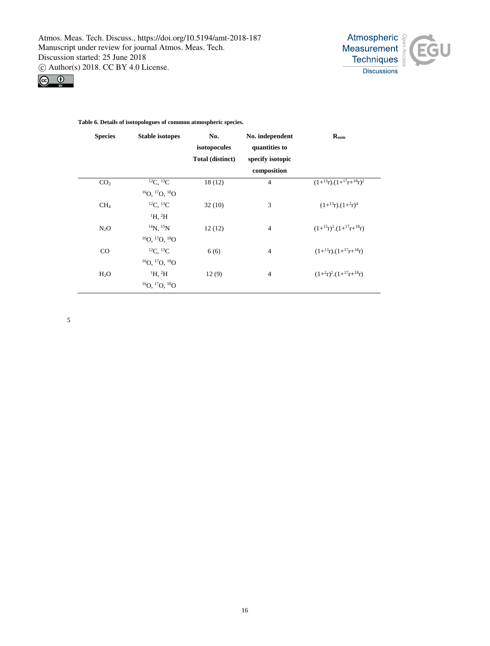



# **Table 6. Details of isotopologues of common atmospheric species.**

| <b>Species</b>   | <b>Stable isotopes</b>                                   | No.<br>isotopocules<br>Total (distinct) | No. independent<br>quantities to<br>specify isotopic<br>composition | $R_{sum}$                              |
|------------------|----------------------------------------------------------|-----------------------------------------|---------------------------------------------------------------------|----------------------------------------|
| CO <sub>2</sub>  | ${}^{12}C, {}^{13}C$<br>${}^{16}O, {}^{17}O, {}^{18}O$   | 18(12)                                  | $\overline{4}$                                                      | $(1+^{13}r) \cdot (1+^{17}r+^{18}r)^2$ |
| CH <sub>4</sub>  | ${}^{12}C. {}^{13}C$<br>$\mathrm{^1H}$ , $\mathrm{^2H}$  | 32(10)                                  | 3                                                                   | $(1+^{13}r)$ . $(1+^{2}r)^{4}$         |
| $N_2O$           | $^{14}N.$ $^{15}N$<br>$^{16}O.$ $^{17}O.$ $^{18}O$       | 12(12)                                  | $\overline{4}$                                                      | $(1+^{15}r)^2(1+^{17}r+^{18}r)$        |
| $_{\rm CO}$      | ${}^{12}C. {}^{13}C$<br>${}^{16}O, {}^{17}O, {}^{18}O$   | 6(6)                                    | $\overline{4}$                                                      | $(1+^{13}r)$ . $(1+^{17}r+^{18}r)$     |
| H <sub>2</sub> O | $\rm ^1H, \rm ^2H$<br>${}^{16}O.$ ${}^{17}O.$ ${}^{18}O$ | 12(9)                                   | $\overline{4}$                                                      | $(1+^2r)^2$ . $(1+^{17}r+^{18}r)$      |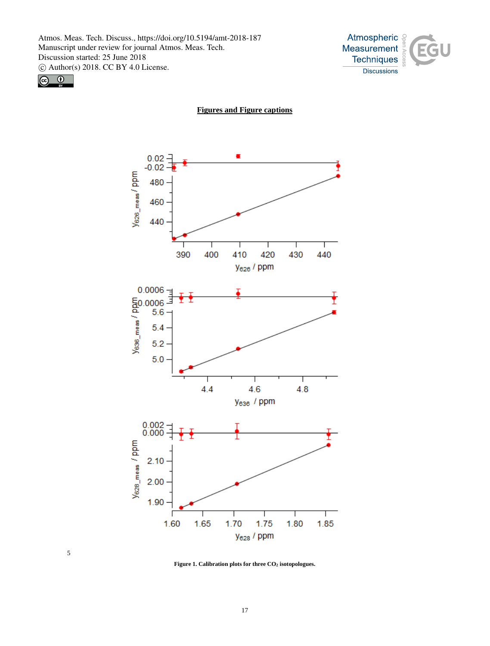



5

**Figures and Figure captions**



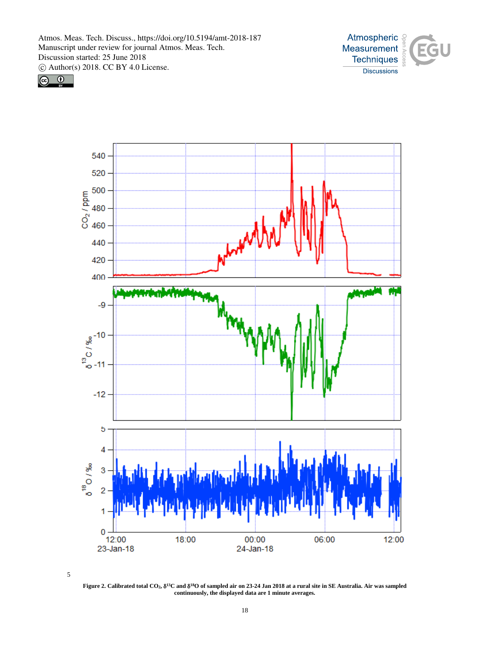





**Figure 2. Calibrated total CO2,** δ**13C and** δ**18O of sampled air on 23-24 Jan 2018 at a rural site in SE Australia. Air was sampled continuously, the displayed data are 1 minute averages.**